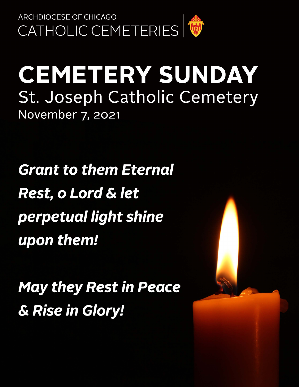

# **CEMETERY SUNDAY** St. Joseph Catholic Cemetery November 7, 2021

**Grant to them Eternal Rest, o Lord & let** perpetual light shine upon them!

**May they Rest in Peace** & Rise in Glory!

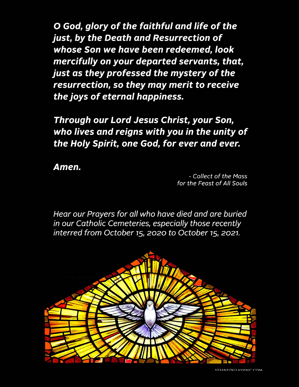O God, glory of the faithful and life of the just, by the Death and Resurrection of whose Son we have been redeemed, look mercifully on your departed servants, that, just as they professed the mystery of the resurrection, so they may merit to receive the joys of eternal happiness.

Through our Lord Jesus Christ, your Son, who lives and reigns with you in the unity of the Holy Spirit, one God, for ever and ever.

Amen.

- Collect of the Mass for the Feast of All Souls

Hear our Prayers for all who have died and are buried in our Catholic Cemeteries, especially those recently interred from October 15, 2020 to October 15, 2021.

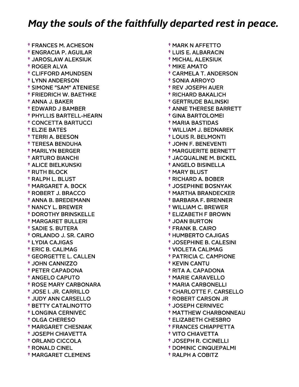† FRANCES M. ACHESON † ENGRACIA P. AGUILAR † JAROSLAW ALEKSIUK † ROGER ALVA † CLIFFORD AMUNDSEN † LYNN ANDERSON † SIMONE "SAM" ATENIESE † FRIEDRICH W. BAETHKE † ANNA J. BAKER † EDWARD J BAMBER † PHYLLIS BARTELL-HEARN † CONCETTA BARTUCCI † ELZIE BATES † TERRI A. BEESON † TERESA BENDUHA † MARILYN BERGER † ARTURO BIANCHI † ALICE BIELKUNSKI † RUTH BLOCK † RALPH L. BLUST † MARGARET A. BOCK † ROBERT J. BRACCO † ANNA B. BREDEMANN † NANCY L. BREWER † DOROTHY BRINSKELLE † MARGARET BULLERI † SADIE S. BUTERA † ORLANDO J. SR. CAIRO † LYDIA CAJIGAS † ERIC B. CALIMAG † GEORGETTE L. CALLEN † JOHN CANNIZZO † PETER CAPADONA † ANGELO CAPUTO † ROSE MARY CARBONARA † JOSE I. JR. CARRILLO † JUDY ANN CARSELLO † BETTY CATALINOTTO † LONGINA CERNIVEC † OLGA CHERESO † MARGARET CHESNIAK † JOSEPH CHIAVETTA † ORLAND CICCOLA † RONALD CINEL † MARGARET CLEMENS

 † MICHAL ALEKSIUK † MIKE AMATO † CARMELA T. ANDERSON † SONIA ARROYO † REV JOSEPH AUER † RICHARD BAKALICH † GERTRUDE BALINSKI † ANNE THERESE BARRETT † GINA BARTOLOMEI † MARIA BASTIDAS † WILLIAM J. BEDNAREK † LOUIS R. BELMONTI † JOHN F. BENEVENTI † MARGUERITE BERNETT † JACQUALINE M. BICKEL † ANGELO BISINELLA † MARY BLUST † RICHARD A. BOBER † JOSEPHINE BOSNYAK † MARTHA BRANDECKER † BARBARA F. BRENNER † WILLIAM C. BREWER † ELIZABETH F BROWN † JOAN BURTON † FRANK B. CAIRO † HUMBERTO CAJIGAS † JOSEPHINE B. CALESINI † VIOLETA CALIMAG † PATRICIA C. CAMPIONE † KEVIN CANTU † RITA A. CAPADONA † MARIE CARAVELLO † MARIA CARBONELLI † CHARLOTTE F. CARSELLO † ROBERT CARSON JR † JOSEPH CERNIVEC † MATTHEW CHARBONNEAU † ELIZABETH CHESBRO † FRANCES CHIAPPETTA † VITO CHIAVETTA † JOSEPH R. CICINELLI † DOMINIC CINQUEPALMI † RALPH A COBITZ

† MARK N AFFETTO

† LUIS E. ALBARACIN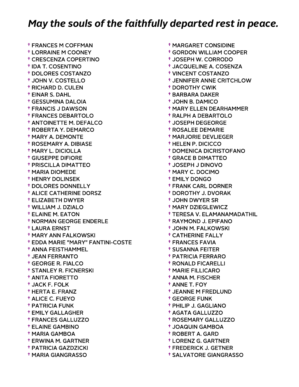† FRANCES M COFFMAN † LORRAINE M COONEY † CRESCENZA COPERTINO † IDA T. COSENTINO † DOLORES COSTANZO † JOHN V. COSTELLO † RICHARD D. CULEN † EINAR S. DAHL † GESSUMINA DALOIA † FRANCIS J DAWSON † FRANCES DEBARTOLO † ANTOINETTE M. DEFALCO † ROBERTA Y. DEMARCO † MARY A. DEMONTE † ROSEMARY A. DIBIASE † MARY L. DICIOLLA † GIUSEPPE DIFIORE † PRISCILLA DIMATTEO † MARIA DIOMEDE † HENRY DOLINSEK † DOLORES DONNELLY † ALICE CATHERINE DORSZ † ELIZABETH DWYER † WILLIAM J. DZIALO † ELAINE M. EATON † NORMAN GEORGE ENDERLE † LAURA ERNST † MARY ANN FALKOWSKI † EDDA MARIE "MARY" FANTINI-COSTE † ANNA FEISTHAMMEL † JEAN FERRANTO † GEORGE R. FIALCO † STANLEY R. FICNERSKI † ANITA FIORETTO † JACK F. FOLK † HERTA E. FRANZ † ALICE C. FUEYO † PATRICIA FUNK † EMILY GALLAGHER † FRANCES GALLUZZO † ELAINE GAMBINO † MARIA GAMBOA † ERWINA M. GARTNER † PATRICIA GAZDZICKI † MARIA GIANGRASSO

 † MARGARET CONSIDINE † GORDON WILLIAM COOPER † JOSEPH W. CORRODO † JACQUELINE A. COSENZA † VINCENT COSTANZO † JENNIFER ANNE CRITCHLOW † DOROTHY CWIK † BARBARA DAKER † JOHN B. DAMICO † MARY ELLEN DEARHAMMER † RALPH A DEBARTOLO † JOSEPH DEGEORGE † ROSALEE DEMARIE † MARJORIE DEVLIEGER † HELEN P. DICICCO † DOMENICA DICRISTOFANO † GRACE B DIMATTEO † JOSEPH J DINOVO † MARY C. DOCIMO † EMILY DONGO † FRANK CARL DORNER † DOROTHY J. DVORAK † JOHN DWYER SR † MARY DZIEGLEWICZ † TERESA V. ELAMANAMADATHIL † RAYMOND J. EPIFANO † JOHN M. FALKOWSKI † CATHERINE FALLY † FRANCES FAVIA † SUSANNA FEITER † PATRICIA FERRARO † RONALD FICARELLI † MARIE FILLICARO † ANNA M. FISCHER † ANNE T. FOY † JEANNE M FREDLUND † GEORGE FUNK † PHILIP J. GAGLIANO † AGATA GALLUZZO † ROSEMARY GALLUZZO † JOAQUIN GAMBOA † ROBERT A. GARD † LORENZ G. GARTNER † FREDERICK J. GETNER

† SALVATORE GIANGRASSO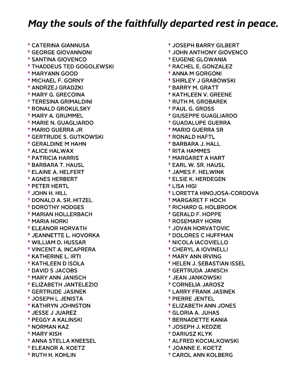† CATERINA GIANNUSA † GEORGE GIOVANNONI † SANTINA GIOVENCO † THADDEUS TED GOGOLEWSKI † MARYANN GOOD † MICHAEL F. GORNY † ANDRZEJ GRADZKI † MARY G. GRECOINA † TERESINA GRIMALDINI † RONALD GROKULSKY † MARY A. GRUMMEL † MARIE N. GUAGLIARDO † MARIO GUERRA JR † GERTRUDE S. GUTKOWSKI † GERALDINE M HAHN † ALICE HALWAX † PATRICIA HARRIS † BARBARA T. HAUSL † ELAINE A. HELFERT † AGNES HERBERT † PETER HERTL † JOHN H. HILL † DONALD A. SR. HITZEL † DOROTHY HODGES † MARIAN HOLLERBACH † MARIA HORKI † ELEANOR HORVATH † JEANNETTE L. HOVORKA † WILLIAM D. HUSSAR † VINCENT A. INCAPRERA † KATHERINE L. IRTI † KATHLEEN D ISOLA † DAVID S JACOBS † MARY ANN JANISCH † ELIZABETH JANTELEZIO † GERTRUDE JASINEK † JOSEPH L JENISTA † KATHRYN JOHNSTON † JESSE J JUAREZ † PEGGY A KALINSKI † NORMAN KAZ † MARY KISH † ANNA STELLA KNEESEL † ELEANOR A. KOETZ † RUTH H. KOHLIN

 † JOSEPH BARRY GILBERT † JOHN ANTHONY GIOVENCO † EUGENE GLOWANIA † RACHEL E. GONZALEZ † ANNA M GORGONI † SHIRLEY J GRABOWSKI † BARRY M. GRATT † KATHLEEN V. GREENE † RUTH M. GROBAREK † PAUL G. GROSS † GIUSEPPE GUAGLIARDO † GUADALUPE GUERRA † MARIO GUERRA SR † RONALD HAFTL † BARBARA J. HALL † RITA HAMMES † MARGARET A HART † EARL W. SR. HAUSL † JAMES F. HELWINK † ELSIE K. HERDEGEN † LISA HIGI † LORETTA HINOJOSA-CORDOVA † MARGARET F HOCH † RICHARD G. HOLBROOK † GERALD F. HOPPE † ROSEMARY HORN † JOVAN HORVATOVIC † DOLORES C HUFFMAN † NICOLA IACOVIELLO † CHERYL A IOVINELLI † MARY ANN IRVING † HELEN J. SEBASTIAN ISSEL † GERTRUDA JANISCH † JEAN JANKOWSKI † CORNELIA JAROSZ † LARRY FRANK JASINEK † PIERRE JENTEL † ELIZABETH ANN JONES † GLORIA A. JUHAS † BERNADETTE KANIA † JOSEPH J. KEDZIE † DARIUSZ KLYK † ALFRED KOCIALKOWSKI † JOANNE E. KOETZ

† CAROL ANN KOLBERG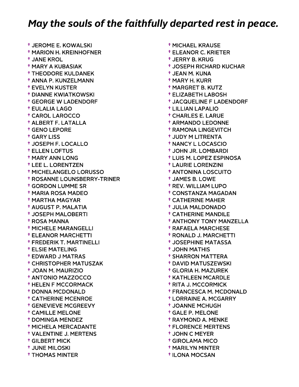† JEROME E. KOWALSKI † MARION H. KREINHOFNER † JANE KROL † MARY A KUBASIAK † THEODORE KULDANEK † ANNA P. KUNZELMANN † EVELYN KUSTER † DIANNE KWIATKOWSKI † GEORGE W LADENDORF † EULALIA LAGO † CAROL LAROCCO † ALBERT F. LATALLA † GENO LEPORE † GARY LISS † JOSEPH F. LOCALLO † ELLEN LOFTUS † MARY ANN LONG † LEE L. LORENTZEN † MICHELANGELO LORUSSO † ROSANNE LOUNSBERRY-TRINER † GORDON LUMME SR † MARIA ROSA MADEO † MARTHA MAGYAR † AUGUST P. MALATIA † JOSEPH MALOBERTI † ROSA MANNA † MICHELE MARANGELLI † ELEANOR MARCHETTI † FREDERIK T. MARTINELLI † ELSIE MATELING † EDWARD J MATRAS † CHRISTOPHER MATUSZAK † JOAN M. MAURIZIO † ANTONIO MAZZOCCO † HELEN F MCCORMACK † DONNA MCDONALD † CATHERINE MCENROE † GENEVIEVE MCGREEVY † CAMILLE MELONE † DOMINGA MENDEZ † MICHELA MERCADANTE † VALENTINE J. MERTENS † GILBERT MICK † JUNE MILOSKI † THOMAS MINTER

 † MICHAEL KRAUSE † ELEANOR C. KRIETER † JERRY B. KRUG † JOSEPH RICHARD KUCHAR † JEAN M. KUNA † MARY H. KURR † MARGRET B. KUTZ † ELIZABETH LABOSH † JACQUELINE F LADENDORF † LILLIAN LAPALIO † CHARLES E. LARUE † ARMANDO LEDONNE † RAMONA LINGEVITCH † JUDY M LITRENTA † NANCY L LOCASCIO † JOHN JR. LOMBARDI † LUIS M. LOPEZ ESPINOSA † LAURIE LORENZINI † ANTONINA LOSCUITO † JAMES B. LOWE † REV. WILLIAM LUPO † CONSTANZA MAGADAN † CATHERINE MAHER † JULIA MALDONADO † CATHERINE MANDILE † ANTHONY TONY MANZELLA † RAFAELA MARCHESE † RONALD J. MARCHETTI † JOSEPHINE MATASSA † JOHN MATHIS † SHARRON MATTERA † DAVID MATUSZEWSKI † GLORIA H. MAZUREK † KATHLEEN MCARDLE † RITA J. MCCORMICK † FRANCESCA M. MCDONALD † LORRAINE A. MCGARRY † JOANNE MCHUGH † GALE P. MELONE † RAYMOND A. MENKE † FLORENCE MERTENS † JOHN C MEYER † GIROLAMA MICO † MARILYN MINTER

† ILONA MOCSAN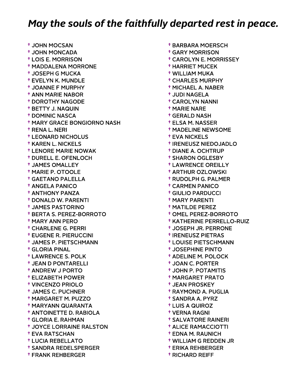† JOHN MOCSAN † JOHN MONCADA † LOIS E. MORRISON † MADDALENA MORRONE † JOSEPH G MUCKA † EVELYN K. MUNDLE † JOANNE F MURPHY † ANN MARIE NABOR † DOROTHY NAGODE † BETTY J. NAQUIN † DOMINIC NASCA † MARY GRACE BONGIORNO NASH † RENA L. NERI † LEONARD NICHOLUS † KAREN L. NICKELS † LENORE MARIE NOWAK † DURELL E. OFENLOCH † JAMES OMALLEY † MARIE P. OTOOLE † GAETANO PALELLA † ANGELA PANICO † ANTHONY PANZA † DONALD W. PARENTI † JAMES PASTORINO † BERTA S. PEREZ-BORROTO † MARY ANN PERO † CHARLENE G. PERRI † EUGENE R. PIERUCCINI † JAMES P. PIETSCHMANN † GLORIA PINAL † LAWRENCE S. POLK † JEAN D PONTARELLI † ANDREW J PORTO † ELIZABETH POWER † VINCENZO PRIOLO † JAMES C. PUCHNER † MARGARET M. PUZZO † MARYANN QUARANTA † ANTOINETTE D. RABIOLA † GLORIA E. RAHMAN † JOYCE LORRAINE RALSTON † EVA RATSCHAN † LUCIA REBELLATO † SANDRA REDELSPERGER † FRANK REHBERGER

 † BARBARA MOERSCH † GARY MORRISON † CAROLYN E. MORRISSEY † HARRIET MUCEK † WILLIAM MUKA † CHARLES MURPHY † MICHAEL A. NABER † JUDI NAGELA † CAROLYN NANNI † MARIE NARE † GERALD NASH † ELSA M. NASSER † MADELINE NEWSOME † EVA NICKELS † IRENEUSZ NIEDOJADLO † DIANE A. OCHTRUP † SHARON OGLESBY † LAWRENCE OREILLY † ARTHUR OZLOWSKI † RUDOLPH G. PALMER † CARMEN PANICO † GIULIO PARDUCCI † MARY PARENTI † MATILDE PEREZ † OMEL PEREZ-BORROTO † KATHERINE PERRELLO-RUIZ † JOSEPH JR. PERRONE † IRENEUSZ PIETRAS † LOUISE PIETSCHMANN † JOSEPHINE PINTO † ADELINE M. POLOCK † JOAN C. PORTER † JOHN P. POTAMITIS † MARGARET PRATO † JEAN PROSKEY † RAYMOND A. PUGLIA † SANDRA A. PYRZ † LUIS A QUIROZ † VERNA RAGNI † SALVATORE RAINERI † ALICE RAMACCIOTTI † EDNA M. RAUNICH † WILLIAM G REDDEN JR † ERIKA REHBERGER

† RICHARD REIFF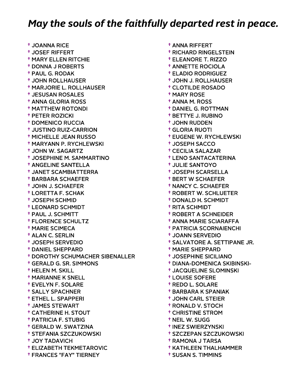† JOANNA RICE † JOSEF RIFFERT † MARY ELLEN RITCHIE † DONNA J ROBERTS † PAUL G. RODAK † JOHN ROLLHAUSER † MARJORIE L. ROLLHAUSER † JESUSAN ROSALES † ANNA GLORIA ROSS † MATTHEW ROTONDI † PETER ROZICKI † DOMENICO RUCCIA † JUSTINO RUIZ-CARRION † MICHELLE JEAN RUSSO † MARYANN P. RYCHLEWSKI † JOHN W. SAGARTZ † JOSEPHINE M. SAMMARTINO † ANGELINE SANTELLA † JANET SCAMBIATTERRA † BARBARA SCHAEFER † JOHN J. SCHAEFER † LORETTA F. SCHAK † JOSEPH SCHMID † LEONARD SCHMIDT † PAUL J. SCHMITT † FLORENCE SCHULTZ † MARIE SCIMECA † ALAN C. SERLIN † JOSEPH SERVEDIO † DANIEL SHEPPARD † DOROTHY SCHUMACHER SIBENALLER † GERALD G. SR. SIMMONS † HELEN M. SKILL † MARIANNE K SNELL † EVELYN F. SOLARE † SALLY SPACHNER † ETHEL L. SPAPPERI † JAMES STEWART † CATHERINE H. STOUT † PATRICIA F. STUBIG † GERALD W. SWATZINA † STEFANIA SZCZUKOWSKI † JOY TADAVICH † ELIZABETH TEKMETAROVIC † FRANCES "FAY" TIERNEY

 † ANNA RIFFERT † RICHARD RINGELSTEIN † ELEANORE T. RIZZO † ANNETTE ROCIOLA † ELADIO RODRIGUEZ † JOHN J. ROLLHAUSER † CLOTILDE ROSADO † MARY ROSE † ANNA M. ROSS † DANIEL G. ROTTMAN † BETTYE J. RUBINO † JOHN RUDDEN † GLORIA RUOTI † EUGENE W. RYCHLEWSKI † JOSEPH SACCO † CECILIA SALAZAR † LENO SANTACATERINA † JULIE SANTOYO † JOSEPH SCARSELLA † BERT W SCHAEFER † NANCY C. SCHAEFER † ROBERT W. SCHLUETER † DONALD H. SCHMIDT † RITA SCHMIDT † ROBERT A SCHNEIDER † ANNA MARIE SCIARAFFA † PATRICIA SCORNAIENCHI † JOANN SERVEDIO † SALVATORE A. SETTIPANE JR. † MARIE SHEPPARD † JOSEPHINE SICILIANO † DIANA-DOMENICA SKIBINSKI- † JACQUELINE SLOMINSKI † LOUISE SOFERE † REDO L. SOLARE † BARBARA K SPANIAK † JOHN CARL STEIER † RONALD V. STOCH † CHRISTINE STROM † NEIL W. SUGG † INEZ SWIERZYNSKI † SZCZEPAN SZCZUKOWSKI † RAMONA J TARSA † KATHLEEN THALHAMMER

† SUSAN S. TIMMINS